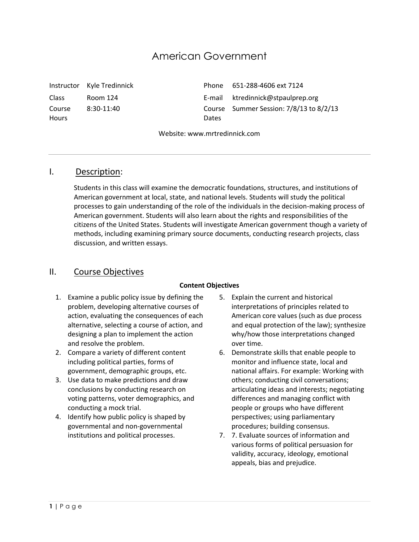# American Government

Course **Hours** 

 $8:30-11:40$ 

Instructor Kyle Tredinnick Phone 651-288-4606 ext 7124 Class Room 124 E-mail ktredinnick@stpaulprep.org Dates Course Summer Session: 7/8/13 to 8/2/13

Website: www.mrtredinnick.com

# I. Description:

Students in this class will examine the democratic foundations, structures, and institutions of American government at local, state, and national levels. Students will study the political processes to gain understanding of the role of the individuals in the decision-making process of American government. Students will also learn about the rights and responsibilities of the citizens of the United States. Students will investigate American government though a variety of methods, including examining primary source documents, conducting research projects, class discussion, and written essays.

# II. Course Objectives

#### **Content Objectives**

- 1. Examine a public policy issue by defining the problem, developing alternative courses of action, evaluating the consequences of each alternative, selecting a course of action, and designing a plan to implement the action and resolve the problem.
- 2. Compare a variety of different content including political parties, forms of government, demographic groups, etc.
- 3. Use data to make predictions and draw conclusions by conducting research on voting patterns, voter demographics, and conducting a mock trial.
- 4. Identify how public policy is shaped by governmental and non-governmental institutions and political processes.
- 5. Explain the current and historical interpretations of principles related to American core values (such as due process and equal protection of the law); synthesize why/how those interpretations changed over time.
- 6. Demonstrate skills that enable people to monitor and influence state, local and national affairs. For example: Working with others; conducting civil conversations; articulating ideas and interests; negotiating differences and managing conflict with people or groups who have different perspectives; using parliamentary procedures; building consensus.
- 7. 7. Evaluate sources of information and various forms of political persuasion for validity, accuracy, ideology, emotional appeals, bias and prejudice.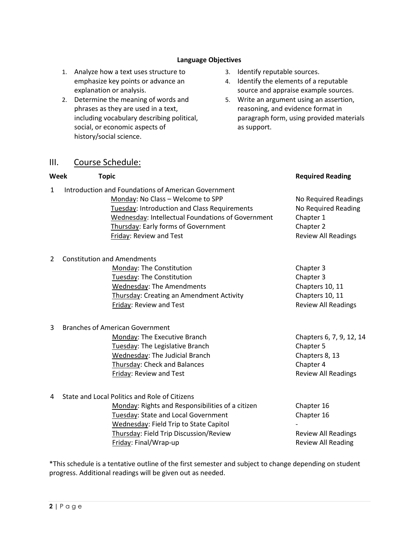#### **Language Objectives**

- 1. Analyze how a text uses structure to emphasize key points or advance an explanation or analysis.
- 2. Determine the meaning of words and phrases as they are used in a text, including vocabulary describing political, social, or economic aspects of history/social science.

# 3. Identify reputable sources.

- 4. Identify the elements of a reputable source and appraise example sources.
- 5. Write an argument using an assertion, reasoning, and evidence format in paragraph form, using provided materials as support.

### III. Course Schedule:

| Week           | <b>Topic</b>                                                                                                                                                                                                                                                    | <b>Required Reading</b>                                                                             |
|----------------|-----------------------------------------------------------------------------------------------------------------------------------------------------------------------------------------------------------------------------------------------------------------|-----------------------------------------------------------------------------------------------------|
| 1              | Introduction and Foundations of American Government<br>Monday: No Class - Welcome to SPP<br>Tuesday: Introduction and Class Requirements<br>Wednesday: Intellectual Foundations of Government<br>Thursday: Early forms of Government<br>Friday: Review and Test | No Required Readings<br>No Required Reading<br>Chapter 1<br>Chapter 2<br><b>Review All Readings</b> |
| $\overline{2}$ | <b>Constitution and Amendments</b><br>Monday: The Constitution<br>Tuesday: The Constitution<br><b>Wednesday: The Amendments</b><br>Thursday: Creating an Amendment Activity<br>Friday: Review and Test                                                          | Chapter 3<br>Chapter 3<br>Chapters 10, 11<br>Chapters 10, 11<br><b>Review All Readings</b>          |
| 3              | <b>Branches of American Government</b><br>Monday: The Executive Branch<br>Tuesday: The Legislative Branch<br>Wednesday: The Judicial Branch<br>Thursday: Check and Balances<br>Friday: Review and Test                                                          | Chapters 6, 7, 9, 12, 14<br>Chapter 5<br>Chapters 8, 13<br>Chapter 4<br><b>Review All Readings</b>  |
| 4              | State and Local Politics and Role of Citizens<br>Monday: Rights and Responsibilities of a citizen<br>Tuesday: State and Local Government<br>Wednesday: Field Trip to State Capitol<br>Thursday: Field Trip Discussion/Review                                    | Chapter 16<br>Chapter 16<br><b>Review All Readings</b>                                              |

\*This schedule is a tentative outline of the first semester and subject to change depending on student progress. Additional readings will be given out as needed.

Friday: Final/Wrap-up **Review All Reading**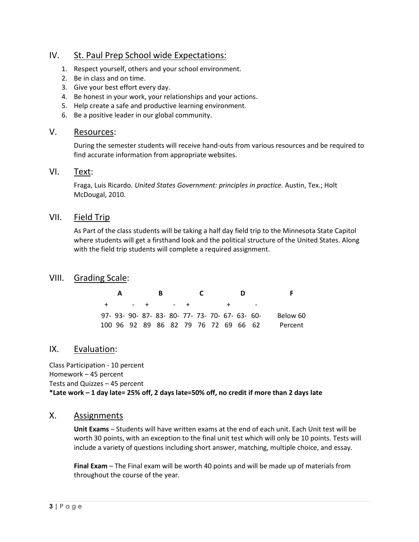# IV. St. Paul Prep School wide Expectations:

- 1. Respect yourself, others and your school environment.
- 2. Be in class and on time.
- 3. Give your best effort every day.
- 4. Be honest in your work, your relationships and your actions.
- 5. Help create a safe and productive learning environment.
- 6. Be a positive leader in our global community.

# V. Resources:

During the semester students will receive hand-outs from various resources and be required to find accurate information from appropriate websites.

# VI. Text:

Fraga, Luis Ricardo. *United States Government: principles in practice.* Austin, Tex.; Holt McDougal, 2010.

# VII. Field Trip

As Part of the class students will be taking a half day field trip to the Minnesota State Capitol where students will get a firsthand look and the political structure of the United States. Along with the field trip students will complete a required assignment.

# VIII. Grading Scale:

| <b>A</b> |  | B. |                                      |  |         | D |                                                 |          |
|----------|--|----|--------------------------------------|--|---------|---|-------------------------------------------------|----------|
|          |  |    | $+$ $ +$ $ +$                        |  | $+$ $-$ |   |                                                 |          |
|          |  |    |                                      |  |         |   | 97- 93- 90- 87- 83- 80- 77- 73- 70- 67- 63- 60- | Below 60 |
|          |  |    | 100 96 92 89 86 82 79 76 72 69 66 62 |  |         |   |                                                 | Percent  |

# IX. Evaluation:

Class Participation - 10 percent Homework – 45 percent Tests and Quizzes – 45 percent **\*Late work – 1 day late= 25% off, 2 days late=50% off, no credit if more than 2 days late**

### X. Assignments

**Unit Exams** – Students will have written exams at the end of each unit. Each Unit test will be worth 30 points, with an exception to the final unit test which will only be 10 points. Tests will include a variety of questions including short answer, matching, multiple choice, and essay.

**Final Exam** – The Final exam will be worth 40 points and will be made up of materials from throughout the course of the year.